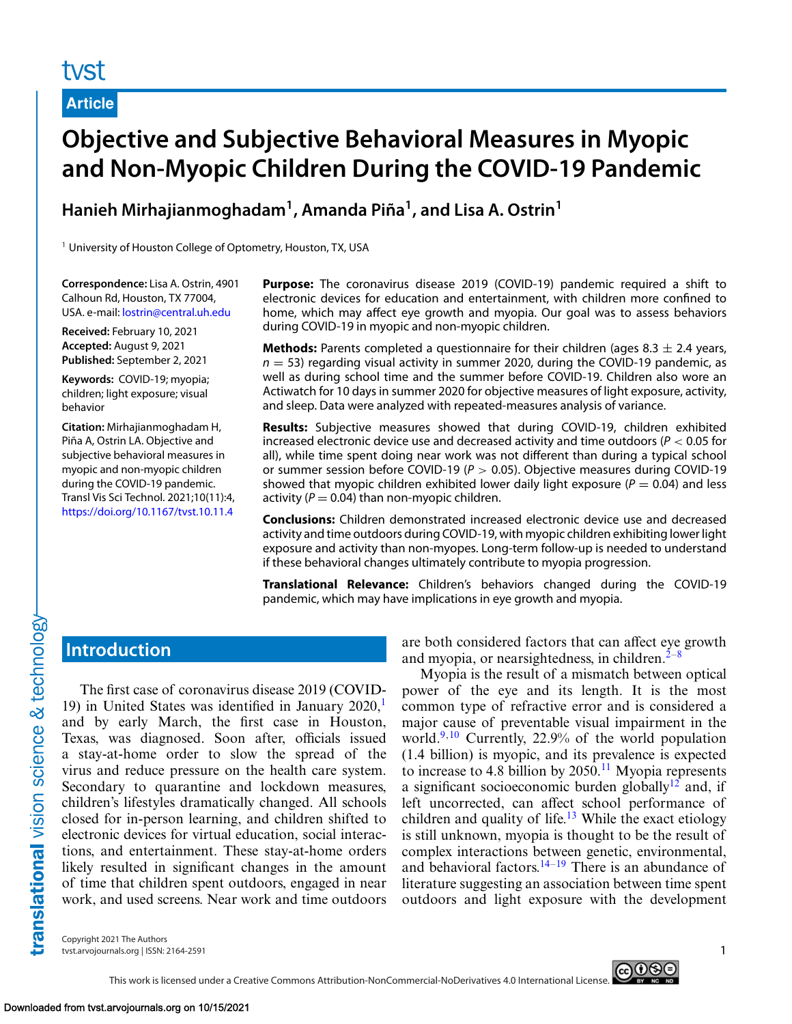# **Article**

# **Objective and Subjective Behavioral Measures in Myopic and Non-Myopic Children During the COVID-19 Pandemic**

**Hanieh Mirhajianmoghadam1, Amanda Piña1, and Lisa A. Ostrin1**

<sup>1</sup> University of Houston College of Optometry, Houston, TX, USA

**Correspondence:** Lisa A. Ostrin, 4901 Calhoun Rd, Houston, TX 77004, USA. e-mail: [lostrin@central.uh.edu](mailto:lostrin@central.uh.edu)

**Received:** February 10, 2021 **Accepted:** August 9, 2021 **Published:** September 2, 2021

**Keywords:** COVID-19; myopia; children; light exposure; visual behavior

**Citation:** Mirhajianmoghadam H, Piña A, Ostrin LA. Objective and subjective behavioral measures in myopic and non-myopic children during the COVID-19 pandemic. Transl Vis Sci Technol. 2021;10(11):4, <https://doi.org/10.1167/tvst.10.11.4>

**Purpose:** The coronavirus disease 2019 (COVID-19) pandemic required a shift to electronic devices for education and entertainment, with children more confined to home, which may affect eye growth and myopia. Our goal was to assess behaviors during COVID-19 in myopic and non-myopic children.

**Methods:** Parents completed a questionnaire for their children (ages  $8.3 \pm 2.4$  years,  $n = 53$ ) regarding visual activity in summer 2020, during the COVID-19 pandemic, as well as during school time and the summer before COVID-19. Children also wore an Actiwatch for 10 days in summer 2020 for objective measures of light exposure, activity, and sleep. Data were analyzed with repeated-measures analysis of variance.

**Results:** Subjective measures showed that during COVID-19, children exhibited increased electronic device use and decreased activity and time outdoors ( $P < 0.05$  for all), while time spent doing near work was not different than during a typical school or summer session before COVID-19 ( $P > 0.05$ ). Objective measures during COVID-19 showed that myopic children exhibited lower daily light exposure ( $P = 0.04$ ) and less activity ( $P = 0.04$ ) than non-myopic children.

**Conclusions:** Children demonstrated increased electronic device use and decreased activity and time outdoors during COVID-19, with myopic children exhibiting lower light exposure and activity than non-myopes. Long-term follow-up is needed to understand if these behavioral changes ultimately contribute to myopia progression.

**Translational Relevance:** Children's behaviors changed during the COVID-19 pandemic, which may have implications in eye growth and myopia.

# **Introduction**

The first case of coronavirus disease 2019 (COVID-[1](#page-8-0)9) in United States was identified in January  $2020$ , and by early March, the first case in Houston, Texas, was diagnosed. Soon after, officials issued a stay-at-home order to slow the spread of the virus and reduce pressure on the health care system. Secondary to quarantine and lockdown measures, children's lifestyles dramatically changed. All schools closed for in-person learning, and children shifted to electronic devices for virtual education, social interactions, and entertainment. These stay-at-home orders likely resulted in significant changes in the amount of time that children spent outdoors, engaged in near work, and used screens. Near work and time outdoors are both considered factors that can affect eye growth and myopia, or nearsightedness, in children. $2^{-8}$ 

Myopia is the result of a mismatch between optical power of the eye and its length. It is the most common type of refractive error and is considered a major cause of preventable visual impairment in the world[.9,10](#page-8-0) Currently, 22.9% of the world population (1.4 billion) is myopic, and its prevalence is expected to increase to 4.8 billion by  $2050$ .<sup>[11](#page-8-0)</sup> Myopia represents a significant socioeconomic burden globally<sup>[12](#page-8-0)</sup> and, if left uncorrected, can affect school performance of children and quality of life. $13$  While the exact etiology is still unknown, myopia is thought to be the result of complex interactions between genetic, environmental, and behavioral factors. $14-19$  There is an abundance of literature suggesting an association between time spent outdoors and light exposure with the development

Copyright 2021 The Authors tvst.arvojournals.org | ISSN: 2164-2591 1

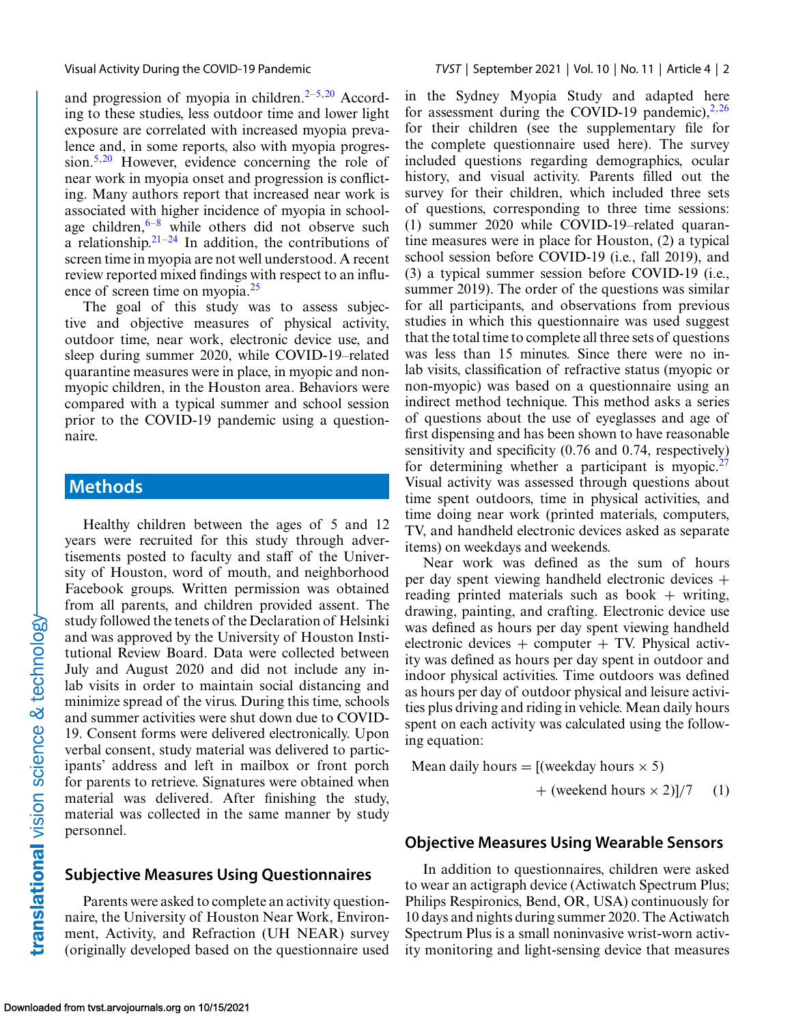and progression of myopia in children. $2-5,20$  According to these studies, less outdoor time and lower light exposure are correlated with increased myopia prevalence and, in some reports, also with myopia progression.<sup>5,20</sup> However, evidence concerning the role of near work in myopia onset and progression is conflicting. Many authors report that increased near work is associated with higher incidence of myopia in schoolage children, $6-8$  while others did not observe such a relationship. $2^{1-24}$  In addition, the contributions of screen time in myopia are not well understood. A recent review reported mixed findings with respect to an influence of screen time on myopia.<sup>25</sup>

The goal of this study was to assess subjective and objective measures of physical activity, outdoor time, near work, electronic device use, and sleep during summer 2020, while COVID-19–related quarantine measures were in place, in myopic and nonmyopic children, in the Houston area. Behaviors were compared with a typical summer and school session prior to the COVID-19 pandemic using a questionnaire.

# **Methods**

Healthy children between the ages of 5 and 12 years were recruited for this study through advertisements posted to faculty and staff of the University of Houston, word of mouth, and neighborhood Facebook groups. Written permission was obtained from all parents, and children provided assent. The study followed the tenets of the Declaration of Helsinki and was approved by the University of Houston Institutional Review Board. Data were collected between July and August 2020 and did not include any inlab visits in order to maintain social distancing and minimize spread of the virus. During this time, schools and summer activities were shut down due to COVID-19. Consent forms were delivered electronically. Upon verbal consent, study material was delivered to participants' address and left in mailbox or front porch for parents to retrieve. Signatures were obtained when material was delivered. After finishing the study, material was collected in the same manner by study personnel.

### **Subjective Measures Using Questionnaires**

Parents were asked to complete an activity questionnaire, the University of Houston Near Work, Environment, Activity, and Refraction (UH NEAR) survey (originally developed based on the questionnaire used in the Sydney Myopia Study and adapted here for assessment during the COVID-19 pandemic), $2,26$ for their children (see the supplementary file for the complete questionnaire used here). The survey included questions regarding demographics, ocular history, and visual activity. Parents filled out the survey for their children, which included three sets of questions, corresponding to three time sessions: (1) summer 2020 while COVID-19–related quarantine measures were in place for Houston, (2) a typical school session before COVID-19 (i.e., fall 2019), and (3) a typical summer session before COVID-19 (i.e., summer 2019). The order of the questions was similar for all participants, and observations from previous studies in which this questionnaire was used suggest that the total time to complete all three sets of questions was less than 15 minutes. Since there were no inlab visits, classification of refractive status (myopic or non-myopic) was based on a questionnaire using an indirect method technique. This method asks a series of questions about the use of eyeglasses and age of first dispensing and has been shown to have reasonable sensitivity and specificity (0.76 and 0.74, respectively) for determining whether a participant is myopic. $27$ Visual activity was assessed through questions about time spent outdoors, time in physical activities, and time doing near work (printed materials, computers, TV, and handheld electronic devices asked as separate items) on weekdays and weekends.

Near work was defined as the sum of hours per day spent viewing handheld electronic devices + reading printed materials such as book  $+$  writing, drawing, painting, and crafting. Electronic device use was defined as hours per day spent viewing handheld electronic devices  $+$  computer  $+$  TV. Physical activity was defined as hours per day spent in outdoor and indoor physical activities. Time outdoors was defined as hours per day of outdoor physical and leisure activities plus driving and riding in vehicle. Mean daily hours spent on each activity was calculated using the following equation:

Mean daily hours =  $[(\text{weekday hours} \times 5)]$ 

 $+$  (weekend hours  $\times$  2)]/7 (1)

### **Objective Measures Using Wearable Sensors**

In addition to questionnaires, children were asked to wear an actigraph device (Actiwatch Spectrum Plus; Philips Respironics, Bend, OR, USA) continuously for 10 days and nights during summer 2020. The Actiwatch Spectrum Plus is a small noninvasive wrist-worn activity monitoring and light-sensing device that measures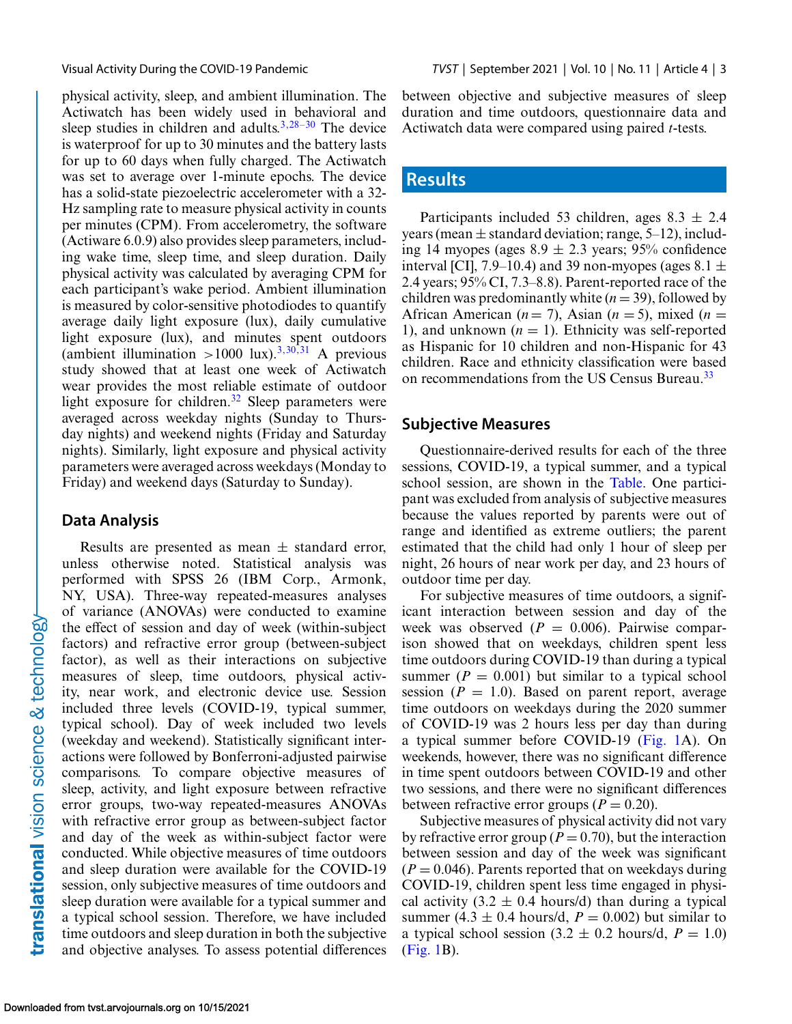physical activity, sleep, and ambient illumination. The Actiwatch has been widely used in behavioral and sleep studies in children and adults. $3,28-30$  $3,28-30$  The device is waterproof for up to 30 minutes and the battery lasts for up to 60 days when fully charged. The Actiwatch was set to average over 1-minute epochs. The device has a solid-state piezoelectric accelerometer with a 32- Hz sampling rate to measure physical activity in counts per minutes (CPM). From accelerometry, the software (Actiware 6.0.9) also provides sleep parameters, including wake time, sleep time, and sleep duration. Daily physical activity was calculated by averaging CPM for each participant's wake period. Ambient illumination is measured by color-sensitive photodiodes to quantify average daily light exposure (lux), daily cumulative light exposure (lux), and minutes spent outdoors (ambient illumination >1000 lux).<sup>[3,](#page-8-0)[30,31](#page-9-0)</sup> A previous study showed that at least one week of Actiwatch wear provides the most reliable estimate of outdoor light exposure for children.<sup>[32](#page-9-0)</sup> Sleep parameters were averaged across weekday nights (Sunday to Thursday nights) and weekend nights (Friday and Saturday nights). Similarly, light exposure and physical activity parameters were averaged across weekdays (Monday to Friday) and weekend days (Saturday to Sunday).

### **Data Analysis**

Results are presented as mean  $\pm$  standard error, unless otherwise noted. Statistical analysis was performed with SPSS 26 (IBM Corp., Armonk, NY, USA). Three-way repeated-measures analyses of variance (ANOVAs) were conducted to examine the effect of session and day of week (within-subject factors) and refractive error group (between-subject factor), as well as their interactions on subjective measures of sleep, time outdoors, physical activity, near work, and electronic device use. Session included three levels (COVID-19, typical summer, typical school). Day of week included two levels (weekday and weekend). Statistically significant interactions were followed by Bonferroni-adjusted pairwise comparisons. To compare objective measures of sleep, activity, and light exposure between refractive error groups, two-way repeated-measures ANOVAs with refractive error group as between-subject factor and day of the week as within-subject factor were conducted. While objective measures of time outdoors and sleep duration were available for the COVID-19 session, only subjective measures of time outdoors and sleep duration were available for a typical summer and a typical school session. Therefore, we have included time outdoors and sleep duration in both the subjective and objective analyses. To assess potential differences between objective and subjective measures of sleep duration and time outdoors, questionnaire data and Actiwatch data were compared using paired *t*-tests.

# **Results**

Participants included 53 children, ages  $8.3 \pm 2.4$ years (mean  $\pm$  standard deviation; range, 5–12), including 14 myopes (ages  $8.9 \pm 2.3$  years; 95% confidence interval [CI], 7.9–10.4) and 39 non-myopes (ages  $8.1 \pm$ 2.4 years; 95% CI, 7.3–8.8). Parent-reported race of the children was predominantly white  $(n = 39)$ , followed by African American ( $n = 7$ ), Asian ( $n = 5$ ), mixed ( $n = 1$ ) 1), and unknown  $(n = 1)$ . Ethnicity was self-reported as Hispanic for 10 children and non-Hispanic for 43 children. Race and ethnicity classification were based on recommendations from the US Census Bureau.<sup>[33](#page-9-0)</sup>

### **Subjective Measures**

Questionnaire-derived results for each of the three sessions, COVID-19, a typical summer, and a typical school session, are shown in the [Table.](#page-3-0) One participant was excluded from analysis of subjective measures because the values reported by parents were out of range and identified as extreme outliers; the parent estimated that the child had only 1 hour of sleep per night, 26 hours of near work per day, and 23 hours of outdoor time per day.

For subjective measures of time outdoors, a significant interaction between session and day of the week was observed  $(P = 0.006)$ . Pairwise comparison showed that on weekdays, children spent less time outdoors during COVID-19 than during a typical summer  $(P = 0.001)$  but similar to a typical school session  $(P = 1.0)$ . Based on parent report, average time outdoors on weekdays during the 2020 summer of COVID-19 was 2 hours less per day than during a typical summer before COVID-19 [\(Fig. 1A](#page-4-0)). On weekends, however, there was no significant difference in time spent outdoors between COVID-19 and other two sessions, and there were no significant differences between refractive error groups ( $P = 0.20$ ).

Subjective measures of physical activity did not vary by refractive error group ( $P = 0.70$ ), but the interaction between session and day of the week was significant  $(P = 0.046)$ . Parents reported that on weekdays during COVID-19, children spent less time engaged in physical activity (3.2  $\pm$  0.4 hours/d) than during a typical summer (4.3  $\pm$  0.4 hours/d,  $P = 0.002$ ) but similar to a typical school session  $(3.2 \pm 0.2 \text{ hours/d}, P = 1.0)$ [\(Fig. 1B](#page-4-0)).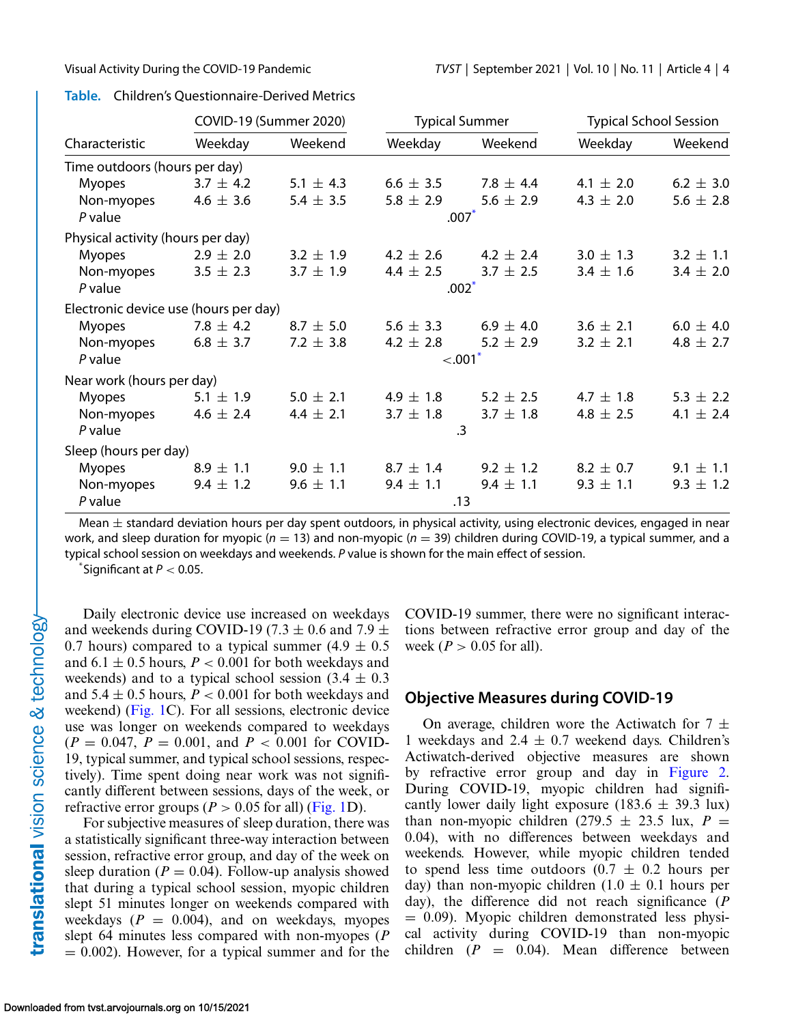### <span id="page-3-0"></span>**Table.** Children's Questionnaire-Derived Metrics

| Characteristic                        | COVID-19 (Summer 2020) |               | <b>Typical Summer</b> |               | <b>Typical School Session</b> |               |  |
|---------------------------------------|------------------------|---------------|-----------------------|---------------|-------------------------------|---------------|--|
|                                       | Weekday                | Weekend       | Weekday               | Weekend       | Weekday                       | Weekend       |  |
| Time outdoors (hours per day)         |                        |               |                       |               |                               |               |  |
| <b>Myopes</b>                         | $3.7 \pm 4.2$          | 5.1 $\pm$ 4.3 | $6.6 \pm 3.5$         | 7.8 $\pm$ 4.4 | 4.1 $\pm$ 2.0                 | $6.2 \pm 3.0$ |  |
| Non-myopes                            | 4.6 $\pm$ 3.6          | 5.4 $\pm$ 3.5 | $5.8 \pm 2.9$         | 5.6 $\pm$ 2.9 | 4.3 $\pm$ 2.0                 | 5.6 $\pm$ 2.8 |  |
| $P$ value                             |                        |               | $.007*$               |               |                               |               |  |
| Physical activity (hours per day)     |                        |               |                       |               |                               |               |  |
| <b>Myopes</b>                         | $2.9 \pm 2.0$          | $3.2 \pm 1.9$ | 4.2 $\pm$ 2.6         | 4.2 $\pm$ 2.4 | $3.0 \pm 1.3$                 | $3.2 \pm 1.1$ |  |
| Non-myopes                            | $3.5 \pm 2.3$          | $3.7 \pm 1.9$ | 4.4 $\pm$ 2.5         | $3.7 \pm 2.5$ | $3.4 \pm 1.6$                 | $3.4 \pm 2.0$ |  |
| $P$ value                             |                        | $.002*$       |                       |               |                               |               |  |
| Electronic device use (hours per day) |                        |               |                       |               |                               |               |  |
| <b>Myopes</b>                         | 7.8 $\pm$ 4.2          | $8.7 \pm 5.0$ | 5.6 $\pm$ 3.3         | 6.9 $\pm$ 4.0 | $3.6 \pm 2.1$                 | $6.0 \pm 4.0$ |  |
| Non-myopes                            | $6.8 \pm 3.7$          | 7.2 $\pm$ 3.8 | 4.2 $\pm$ 2.8         | $5.2 \pm 2.9$ | $3.2 \pm 2.1$                 | 4.8 $\pm$ 2.7 |  |
| $P$ value                             |                        |               | $-.001$               |               |                               |               |  |
| Near work (hours per day)             |                        |               |                       |               |                               |               |  |
| <b>Myopes</b>                         | 5.1 $\pm$ 1.9          | $5.0 \pm 2.1$ | 4.9 $\pm$ 1.8         | $5.2 \pm 2.5$ | 4.7 $\pm$ 1.8                 | 5.3 $\pm$ 2.2 |  |
| Non-myopes                            | 4.6 $\pm$ 2.4          | 4.4 $\pm$ 2.1 | $3.7 \pm 1.8$         | $3.7 \pm 1.8$ | 4.8 $\pm$ 2.5                 | 4.1 $\pm$ 2.4 |  |
| P value                               |                        |               | $\mathbf{.3}$         |               |                               |               |  |
| Sleep (hours per day)                 |                        |               |                       |               |                               |               |  |
| <b>Myopes</b>                         | $8.9 \pm 1.1$          | $9.0 \pm 1.1$ | $8.7 \pm 1.4$         | $9.2 \pm 1.2$ | $8.2 \pm 0.7$                 | $9.1 \pm 1.1$ |  |
| Non-myopes                            | $9.4 \pm 1.2$          | $9.6 \pm 1.1$ | $9.4 \pm 1.1$         | $9.4 \pm 1.1$ | $9.3 \pm 1.1$                 | $9.3 \pm 1.2$ |  |
| $P$ value                             |                        |               |                       | .13           |                               |               |  |

Mean  $\pm$  standard deviation hours per day spent outdoors, in physical activity, using electronic devices, engaged in near work, and sleep duration for myopic ( $n = 13$ ) and non-myopic ( $n = 39$ ) children during COVID-19, a typical summer, and a typical school session on weekdays and weekends. P value is shown for the main effect of session.

 $*$ Significant at  $P < 0.05$ .

Daily electronic device use increased on weekdays and weekends during COVID-19 (7.3  $\pm$  0.6 and 7.9  $\pm$ 0.7 hours) compared to a typical summer  $(4.9 \pm 0.5)$ and  $6.1 \pm 0.5$  hours,  $P < 0.001$  for both weekdays and weekends) and to a typical school session  $(3.4 \pm 0.3)$ and  $5.4 \pm 0.5$  hours,  $P < 0.001$  for both weekdays and weekend) [\(Fig. 1C](#page-4-0)). For all sessions, electronic device use was longer on weekends compared to weekdays  $(P = 0.047, P = 0.001, \text{ and } P < 0.001 \text{ for COVID-}$ 19, typical summer, and typical school sessions, respectively). Time spent doing near work was not significantly different between sessions, days of the week, or refractive error groups ( $P > 0.05$  for all) [\(Fig. 1D](#page-4-0)).

For subjective measures of sleep duration, there was a statistically significant three-way interaction between session, refractive error group, and day of the week on sleep duration ( $P = 0.04$ ). Follow-up analysis showed that during a typical school session, myopic children slept 51 minutes longer on weekends compared with weekdays  $(P = 0.004)$ , and on weekdays, myopes slept 64 minutes less compared with non-myopes (*P*  $= 0.002$ ). However, for a typical summer and for the COVID-19 summer, there were no significant interactions between refractive error group and day of the week ( $P > 0.05$  for all).

### **Objective Measures during COVID-19**

On average, children wore the Actiwatch for  $7 \pm$ 1 weekdays and  $2.4 \pm 0.7$  weekend days. Children's Actiwatch-derived objective measures are shown by refractive error group and day in [Figure 2.](#page-4-0) During COVID-19, myopic children had significantly lower daily light exposure (183.6  $\pm$  39.3 lux) than non-myopic children (279.5  $\pm$  23.5 lux, *P* = 0.04), with no differences between weekdays and weekends. However, while myopic children tended to spend less time outdoors  $(0.7 \pm 0.2)$  hours per day) than non-myopic children  $(1.0 \pm 0.1)$  hours per day), the difference did not reach significance (*P*  $= 0.09$ ). Myopic children demonstrated less physical activity during COVID-19 than non-myopic children  $(P = 0.04)$ . Mean difference between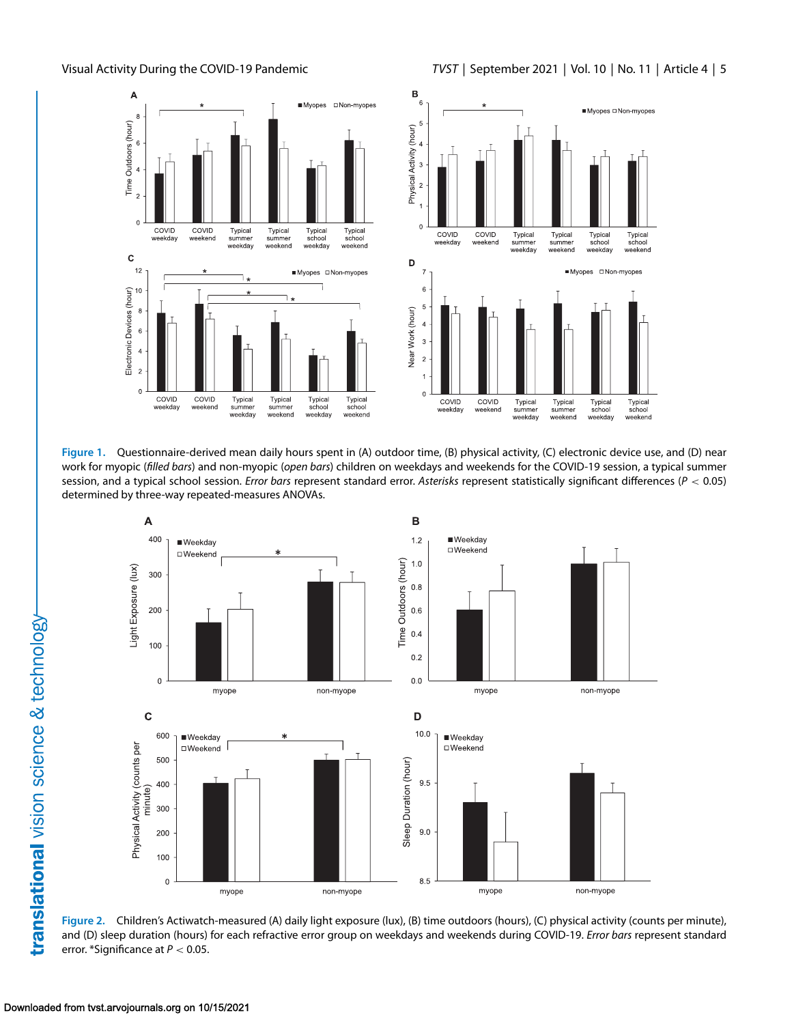<span id="page-4-0"></span>





**Figure 1.** Questionnaire-derived mean daily hours spent in (A) outdoor time, (B) physical activity, (C) electronic device use, and (D) near work for myopic (filled bars) and non-myopic (open bars) children on weekdays and weekends for the COVID-19 session, a typical summer session, and a typical school session. Error bars represent standard error. Asterisks represent statistically significant differences ( $P < 0.05$ ) determined by three-way repeated-measures ANOVAs.



**Figure 2.** Children's Actiwatch-measured (A) daily light exposure (lux), (B) time outdoors (hours), (C) physical activity (counts per minute), and (D) sleep duration (hours) for each refractive error group on weekdays and weekends during COVID-19. Error bars represent standard error. \*Significance at  $P < 0.05$ .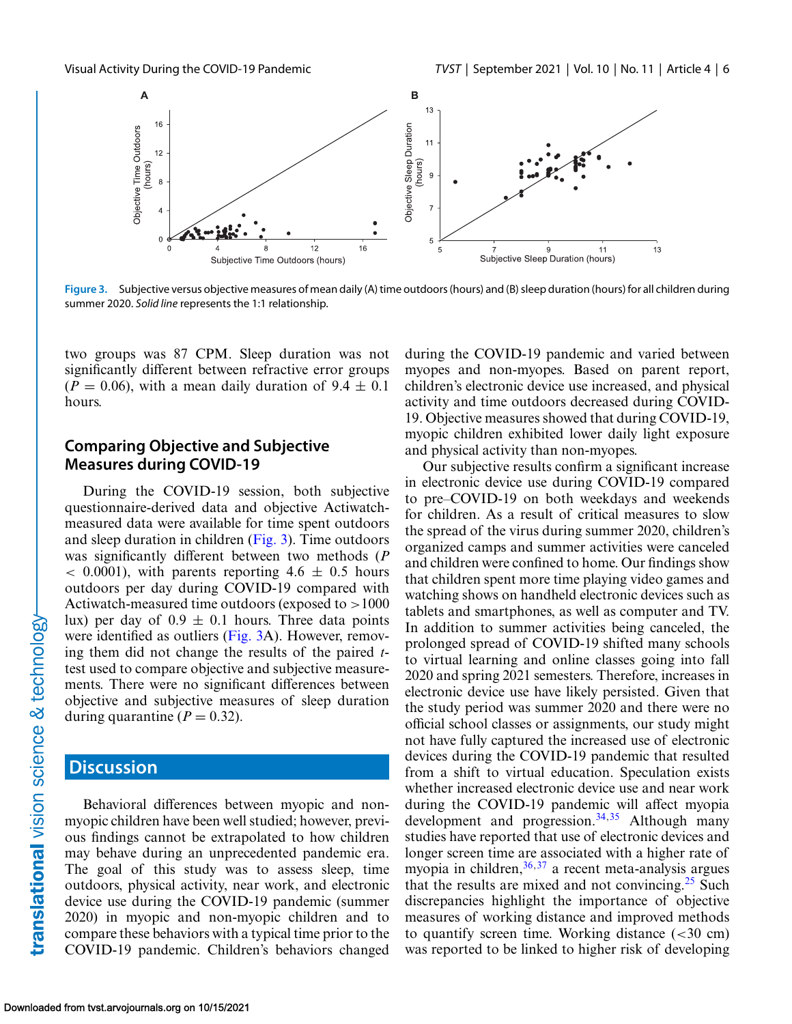

**Figure 3.** Subjective versus objective measures of mean daily (A) time outdoors (hours) and (B) sleep duration (hours) for all children during summer 2020. Solid line represents the 1:1 relationship.

two groups was 87 CPM. Sleep duration was not significantly different between refractive error groups  $(P = 0.06)$ , with a mean daily duration of  $9.4 \pm 0.1$ hours.

### **Comparing Objective and Subjective Measures during COVID-19**

During the COVID-19 session, both subjective questionnaire-derived data and objective Actiwatchmeasured data were available for time spent outdoors and sleep duration in children (Fig. 3). Time outdoors was significantly different between two methods (*P*  $< 0.0001$ ), with parents reporting 4.6  $\pm$  0.5 hours outdoors per day during COVID-19 compared with Actiwatch-measured time outdoors (exposed to  $>1000$ ) lux) per day of  $0.9 \pm 0.1$  hours. Three data points were identified as outliers (Fig. 3A). However, removing them did not change the results of the paired *t*test used to compare objective and subjective measurements. There were no significant differences between objective and subjective measures of sleep duration during quarantine  $(P = 0.32)$ .

## **Discussion**

Behavioral differences between myopic and nonmyopic children have been well studied; however, previous findings cannot be extrapolated to how children may behave during an unprecedented pandemic era. The goal of this study was to assess sleep, time outdoors, physical activity, near work, and electronic device use during the COVID-19 pandemic (summer 2020) in myopic and non-myopic children and to compare these behaviors with a typical time prior to the COVID-19 pandemic. Children's behaviors changed during the COVID-19 pandemic and varied between myopes and non-myopes. Based on parent report, children's electronic device use increased, and physical activity and time outdoors decreased during COVID-19. Objective measures showed that during COVID-19, myopic children exhibited lower daily light exposure and physical activity than non-myopes.

Our subjective results confirm a significant increase in electronic device use during COVID-19 compared to pre–COVID-19 on both weekdays and weekends for children. As a result of critical measures to slow the spread of the virus during summer 2020, children's organized camps and summer activities were canceled and children were confined to home. Our findings show that children spent more time playing video games and watching shows on handheld electronic devices such as tablets and smartphones, as well as computer and TV. In addition to summer activities being canceled, the prolonged spread of COVID-19 shifted many schools to virtual learning and online classes going into fall 2020 and spring 2021 semesters. Therefore, increases in electronic device use have likely persisted. Given that the study period was summer 2020 and there were no official school classes or assignments, our study might not have fully captured the increased use of electronic devices during the COVID-19 pandemic that resulted from a shift to virtual education. Speculation exists whether increased electronic device use and near work during the COVID-19 pandemic will affect myopia development and progression.<sup>[34,35](#page-9-0)</sup> Although many studies have reported that use of electronic devices and longer screen time are associated with a higher rate of myopia in children,  $36,37$  a recent meta-analysis argues that the results are mixed and not convincing.<sup>25</sup> Such discrepancies highlight the importance of objective measures of working distance and improved methods to quantify screen time. Working distance  $( $30 \text{ cm}$ )$ was reported to be linked to higher risk of developing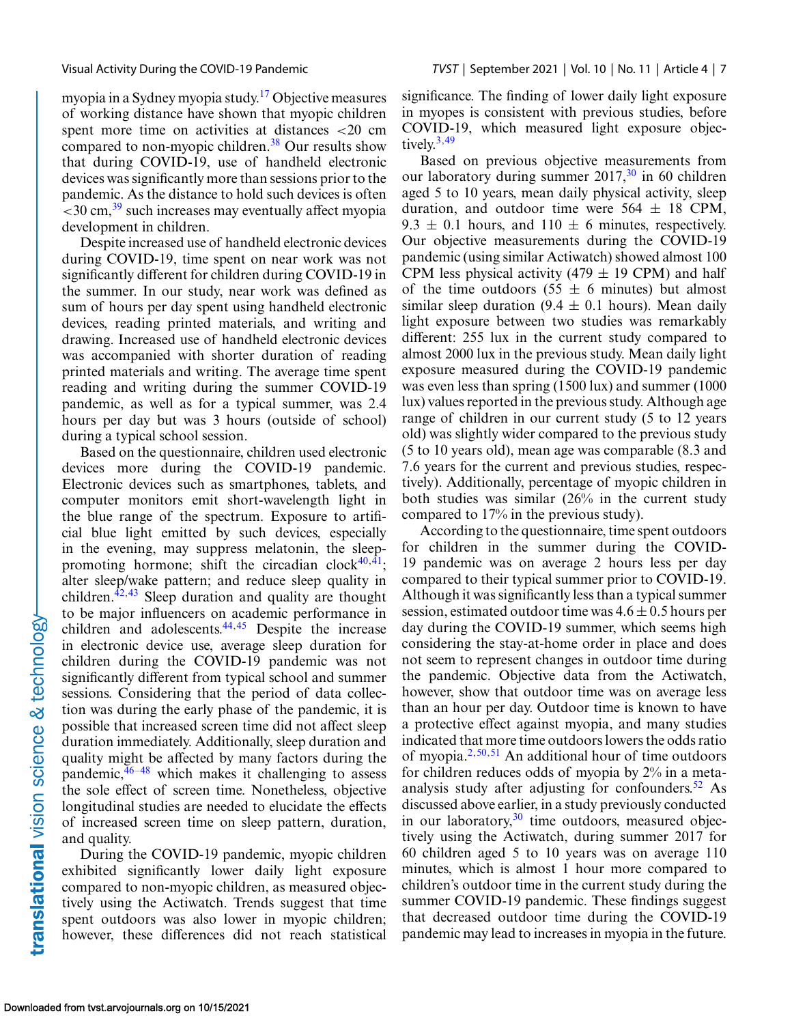myopia in a Sydney myopia study.<sup>17</sup> Objective measures of working distance have shown that myopic children spent more time on activities at distances <20 cm compared to non-myopic children.<sup>[38](#page-9-0)</sup> Our results show that during COVID-19, use of handheld electronic devices was significantly more than sessions prior to the pandemic. As the distance to hold such devices is often  $<$ 30 cm,  $39$  such increases may eventually affect myopia development in children.

Despite increased use of handheld electronic devices during COVID-19, time spent on near work was not significantly different for children during COVID-19 in the summer. In our study, near work was defined as sum of hours per day spent using handheld electronic devices, reading printed materials, and writing and drawing. Increased use of handheld electronic devices was accompanied with shorter duration of reading printed materials and writing. The average time spent reading and writing during the summer COVID-19 pandemic, as well as for a typical summer, was 2.4 hours per day but was 3 hours (outside of school) during a typical school session.

Based on the questionnaire, children used electronic devices more during the COVID-19 pandemic. Electronic devices such as smartphones, tablets, and computer monitors emit short-wavelength light in the blue range of the spectrum. Exposure to artificial blue light emitted by such devices, especially in the evening, may suppress melatonin, the sleeppromoting hormone; shift the circadian clock $40, \overline{41}$ ; alter sleep/wake pattern; and reduce sleep quality in children. $42,43$  Sleep duration and quality are thought to be major influencers on academic performance in children and adolescents.<sup>44,45</sup> Despite the increase in electronic device use, average sleep duration for children during the COVID-19 pandemic was not significantly different from typical school and summer sessions. Considering that the period of data collection was during the early phase of the pandemic, it is possible that increased screen time did not affect sleep duration immediately. Additionally, sleep duration and quality might be affected by many factors during the pandemic,  $46-48$  which makes it challenging to assess the sole effect of screen time. Nonetheless, objective longitudinal studies are needed to elucidate the effects of increased screen time on sleep pattern, duration, and quality.

During the COVID-19 pandemic, myopic children exhibited significantly lower daily light exposure compared to non-myopic children, as measured objectively using the Actiwatch. Trends suggest that time spent outdoors was also lower in myopic children; however, these differences did not reach statistical

significance. The finding of lower daily light exposure in myopes is consistent with previous studies, before COVID-19, which measured light exposure objectively. $3,49$  $3,49$ 

Based on previous objective measurements from our laboratory during summer  $2017<sup>30</sup>$  in 60 children aged 5 to 10 years, mean daily physical activity, sleep duration, and outdoor time were  $564 \pm 18$  CPM, 9.3  $\pm$  0.1 hours, and 110  $\pm$  6 minutes, respectively. Our objective measurements during the COVID-19 pandemic (using similar Actiwatch) showed almost 100 CPM less physical activity (479  $\pm$  19 CPM) and half of the time outdoors  $(55 \pm 6 \text{ minutes})$  but almost similar sleep duration (9.4  $\pm$  0.1 hours). Mean daily light exposure between two studies was remarkably different: 255 lux in the current study compared to almost 2000 lux in the previous study. Mean daily light exposure measured during the COVID-19 pandemic was even less than spring (1500 lux) and summer (1000 lux) values reported in the previous study. Although age range of children in our current study (5 to 12 years old) was slightly wider compared to the previous study (5 to 10 years old), mean age was comparable (8.3 and 7.6 years for the current and previous studies, respectively). Additionally, percentage of myopic children in both studies was similar (26% in the current study compared to 17% in the previous study).

According to the questionnaire, time spent outdoors for children in the summer during the COVID-19 pandemic was on average 2 hours less per day compared to their typical summer prior to COVID-19. Although it was significantly less than a typical summer session, estimated outdoor time was  $4.6 \pm 0.5$  hours per day during the COVID-19 summer, which seems high considering the stay-at-home order in place and does not seem to represent changes in outdoor time during the pandemic. Objective data from the Actiwatch, however, show that outdoor time was on average less than an hour per day. Outdoor time is known to have a protective effect against myopia, and many studies indicated that more time outdoors lowers the odds ratio of myopia. $2,50,51$  $2,50,51$  An additional hour of time outdoors for children reduces odds of myopia by 2% in a metaanalysis study after adjusting for confounders. $52$  As discussed above earlier, in a study previously conducted in our laboratory,  $30$  time outdoors, measured objectively using the Actiwatch, during summer 2017 for 60 children aged 5 to 10 years was on average 110 minutes, which is almost 1 hour more compared to children's outdoor time in the current study during the summer COVID-19 pandemic. These findings suggest that decreased outdoor time during the COVID-19 pandemic may lead to increases in myopia in the future.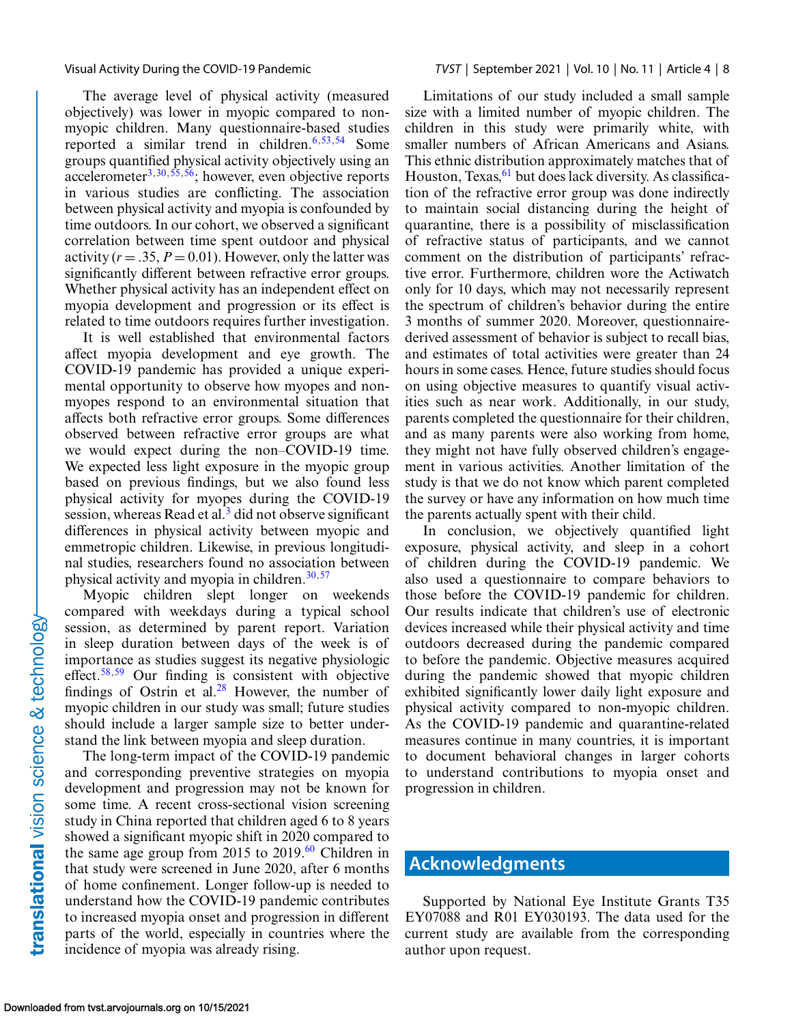The average level of physical activity (measured objectively) was lower in myopic compared to nonmyopic children. Many questionnaire-based studies reported a similar trend in children.<sup>[6,](#page-8-0)[53,54](#page-9-0)</sup> Some groups quantified physical activity objectively using an accelerometer<sup>[3,](#page-8-0)30,55,56</sup>; however, even objective reports in various studies are conflicting. The association between physical activity and myopia is confounded by time outdoors. In our cohort, we observed a significant correlation between time spent outdoor and physical activity  $(r = .35, P = 0.01)$ . However, only the latter was significantly different between refractive error groups. Whether physical activity has an independent effect on myopia development and progression or its effect is related to time outdoors requires further investigation.

It is well established that environmental factors affect myopia development and eye growth. The COVID-19 pandemic has provided a unique experimental opportunity to observe how myopes and nonmyopes respond to an environmental situation that affects both refractive error groups. Some differences observed between refractive error groups are what we would expect during the non–COVID-19 time. We expected less light exposure in the myopic group based on previous findings, but we also found less physical activity for myopes during the COVID-19 session, whereas Read et al. $<sup>3</sup>$  $<sup>3</sup>$  $<sup>3</sup>$  did not observe significant</sup> differences in physical activity between myopic and emmetropic children. Likewise, in previous longitudinal studies, researchers found no association between physical activity and myopia in children. $30,57$  $30,57$ 

Myopic children slept longer on weekends compared with weekdays during a typical school session, as determined by parent report. Variation in sleep duration between days of the week is of importance as studies suggest its negative physiologic effect.<sup>58,59</sup> Our finding is consistent with objective findings of Ostrin et al. $28$  However, the number of myopic children in our study was small; future studies should include a larger sample size to better understand the link between myopia and sleep duration.

The long-term impact of the COVID-19 pandemic and corresponding preventive strategies on myopia development and progression may not be known for some time. A recent cross-sectional vision screening study in China reported that children aged 6 to 8 years showed a significant myopic shift in 2020 compared to the same age group from 2015 to  $2019<sup>60</sup>$  $2019<sup>60</sup>$  $2019<sup>60</sup>$  Children in that study were screened in June 2020, after 6 months of home confinement. Longer follow-up is needed to understand how the COVID-19 pandemic contributes to increased myopia onset and progression in different parts of the world, especially in countries where the incidence of myopia was already rising.

Limitations of our study included a small sample size with a limited number of myopic children. The children in this study were primarily white, with smaller numbers of African Americans and Asians. This ethnic distribution approximately matches that of Houston, Texas, <sup>61</sup> but does lack diversity. As classification of the refractive error group was done indirectly to maintain social distancing during the height of quarantine, there is a possibility of misclassification of refractive status of participants, and we cannot comment on the distribution of participants' refractive error. Furthermore, children wore the Actiwatch only for 10 days, which may not necessarily represent the spectrum of children's behavior during the entire 3 months of summer 2020. Moreover, questionnairederived assessment of behavior is subject to recall bias, and estimates of total activities were greater than 24 hours in some cases. Hence, future studies should focus on using objective measures to quantify visual activities such as near work. Additionally, in our study, parents completed the questionnaire for their children, and as many parents were also working from home, they might not have fully observed children's engagement in various activities. Another limitation of the study is that we do not know which parent completed the survey or have any information on how much time the parents actually spent with their child.

In conclusion, we objectively quantified light exposure, physical activity, and sleep in a cohort of children during the COVID-19 pandemic. We also used a questionnaire to compare behaviors to those before the COVID-19 pandemic for children. Our results indicate that children's use of electronic devices increased while their physical activity and time outdoors decreased during the pandemic compared to before the pandemic. Objective measures acquired during the pandemic showed that myopic children exhibited significantly lower daily light exposure and physical activity compared to non-myopic children. As the COVID-19 pandemic and quarantine-related measures continue in many countries, it is important to document behavioral changes in larger cohorts to understand contributions to myopia onset and progression in children.

# **Acknowledgments**

Supported by National Eye Institute Grants T35 EY07088 and R01 EY030193. The data used for the current study are available from the corresponding author upon request.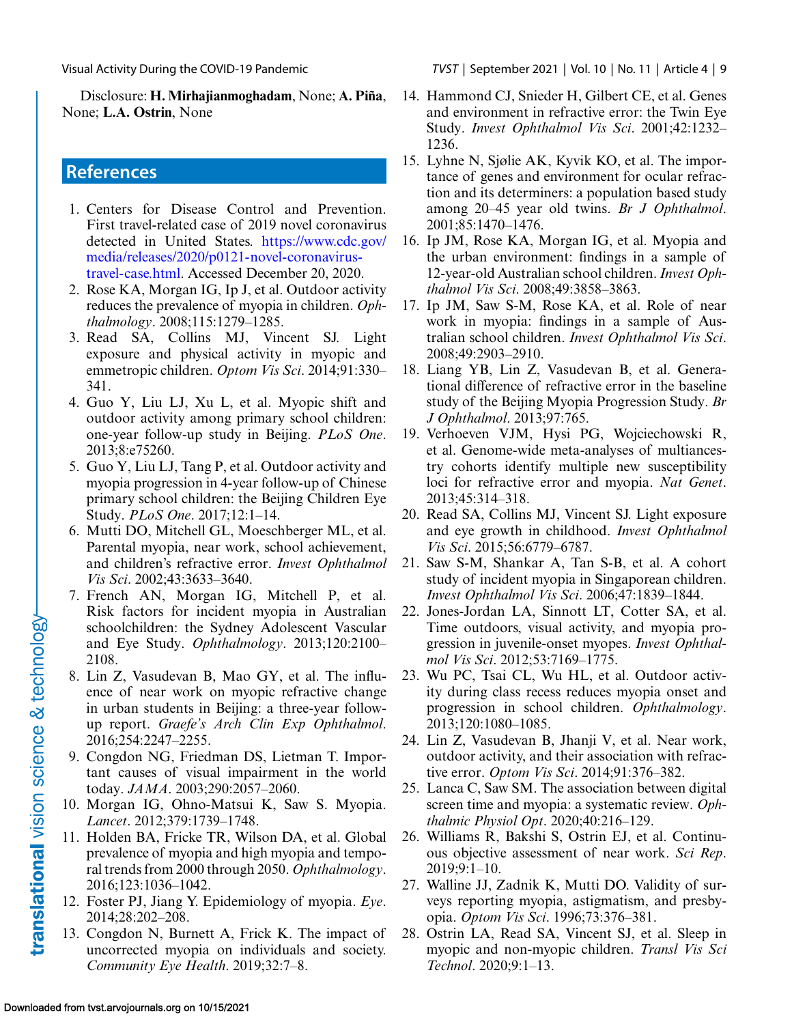<span id="page-8-0"></span>Disclosure: **H. Mirhajianmoghadam**, None; **A. Piña**, None; **L.A. Ostrin**, None

# **References**

- 1. Centers for Disease Control and Prevention. First travel-related case of 2019 novel coronavirus detected in United States. https://www.cdc.gov/ media/releases/2020/p0121-novel-coronavirus[travel-case.html. Accessed December 20, 2020.](https://www.cdc.gov/media/releases/2020/p0121-novel-coronavirus-travel-case.html)
- 2. Rose KA, Morgan IG, Ip J, et al. Outdoor activity reduces the prevalence of myopia in children. *Ophthalmology*. 2008;115:1279–1285.
- 3. Read SA, Collins MJ, Vincent SJ. Light exposure and physical activity in myopic and emmetropic children. *Optom Vis Sci*. 2014;91:330– 341.
- 4. Guo Y, Liu LJ, Xu L, et al. Myopic shift and outdoor activity among primary school children: one-year follow-up study in Beijing. *PLoS One*. 2013;8:e75260.
- 5. Guo Y, Liu LJ, Tang P, et al. Outdoor activity and myopia progression in 4-year follow-up of Chinese primary school children: the Beijing Children Eye Study. *PLoS One*. 2017;12:1–14.
- 6. Mutti DO, Mitchell GL, Moeschberger ML, et al. Parental myopia, near work, school achievement, and children's refractive error. *Invest Ophthalmol Vis Sci*. 2002;43:3633–3640.
- 7. French AN, Morgan IG, Mitchell P, et al. Risk factors for incident myopia in Australian schoolchildren: the Sydney Adolescent Vascular and Eye Study. *Ophthalmology*. 2013;120:2100– 2108.
- 8. Lin Z, Vasudevan B, Mao GY, et al. The influence of near work on myopic refractive change in urban students in Beijing: a three-year followup report. *Graefe's Arch Clin Exp Ophthalmol*. 2016;254:2247–2255.
- 9. Congdon NG, Friedman DS, Lietman T. Important causes of visual impairment in the world today. *JAMA*. 2003;290:2057–2060.
- 10. Morgan IG, Ohno-Matsui K, Saw S. Myopia. *Lancet*. 2012;379:1739–1748.
- 11. Holden BA, Fricke TR, Wilson DA, et al. Global prevalence of myopia and high myopia and temporal trends from 2000 through 2050. *Ophthalmology*. 2016;123:1036–1042.
- 12. Foster PJ, Jiang Y. Epidemiology of myopia. *Eye*. 2014;28:202–208.
- 13. Congdon N, Burnett A, Frick K. The impact of uncorrected myopia on individuals and society. *Community Eye Health*. 2019;32:7–8.
- 14. Hammond CJ, Snieder H, Gilbert CE, et al. Genes and environment in refractive error: the Twin Eye Study. *Invest Ophthalmol Vis Sci*. 2001;42:1232– 1236.
- 15. Lyhne N, Sjølie AK, Kyvik KO, et al. The importance of genes and environment for ocular refraction and its determiners: a population based study among 20–45 year old twins. *Br J Ophthalmol*. 2001;85:1470–1476.
- 16. Ip JM, Rose KA, Morgan IG, et al. Myopia and the urban environment: findings in a sample of 12-year-old Australian school children.*Invest Ophthalmol Vis Sci*. 2008;49:3858–3863.
- 17. Ip JM, Saw S-M, Rose KA, et al. Role of near work in myopia: findings in a sample of Australian school children. *Invest Ophthalmol Vis Sci*. 2008;49:2903–2910.
- 18. Liang YB, Lin Z, Vasudevan B, et al. Generational difference of refractive error in the baseline study of the Beijing Myopia Progression Study. *Br J Ophthalmol*. 2013;97:765.
- 19. Verhoeven VJM, Hysi PG, Wojciechowski R, et al. Genome-wide meta-analyses of multiancestry cohorts identify multiple new susceptibility loci for refractive error and myopia. *Nat Genet*. 2013;45:314–318.
- 20. Read SA, Collins MJ, Vincent SJ. Light exposure and eye growth in childhood. *Invest Ophthalmol Vis Sci*. 2015;56:6779–6787.
- 21. Saw S-M, Shankar A, Tan S-B, et al. A cohort study of incident myopia in Singaporean children. *Invest Ophthalmol Vis Sci*. 2006;47:1839–1844.
- 22. Jones-Jordan LA, Sinnott LT, Cotter SA, et al. Time outdoors, visual activity, and myopia progression in juvenile-onset myopes. *Invest Ophthalmol Vis Sci*. 2012;53:7169–1775.
- 23. Wu PC, Tsai CL, Wu HL, et al. Outdoor activity during class recess reduces myopia onset and progression in school children. *Ophthalmology*. 2013;120:1080–1085.
- 24. Lin Z, Vasudevan B, Jhanji V, et al. Near work, outdoor activity, and their association with refractive error. *Optom Vis Sci*. 2014;91:376–382.
- 25. Lanca C, Saw SM. The association between digital screen time and myopia: a systematic review. *Ophthalmic Physiol Opt*. 2020;40:216–129.
- 26. Williams R, Bakshi S, Ostrin EJ, et al. Continuous objective assessment of near work. *Sci Rep*. 2019;9:1–10.
- 27. Walline JJ, Zadnik K, Mutti DO. Validity of surveys reporting myopia, astigmatism, and presbyopia. *Optom Vis Sci*. 1996;73:376–381.
- 28. Ostrin LA, Read SA, Vincent SJ, et al. Sleep in myopic and non-myopic children. *Transl Vis Sci Technol*. 2020;9:1–13.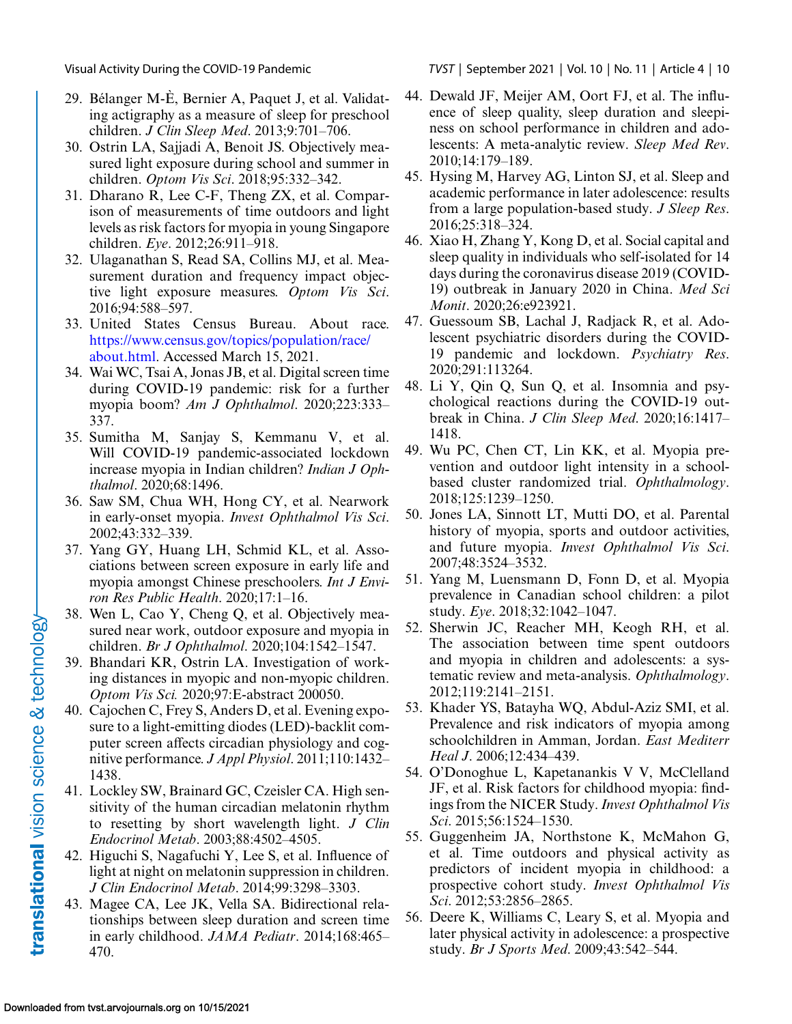- 29. Bélanger M-È, Bernier A, Paquet J, et al. Validating actigraphy as a measure of sleep for preschool children. *J Clin Sleep Med*. 2013;9:701–706.
- 30. Ostrin LA, Sajjadi A, Benoit JS. Objectively measured light exposure during school and summer in children. *Optom Vis Sci*. 2018;95:332–342.
- 31. Dharano R, Lee C-F, Theng ZX, et al. Comparison of measurements of time outdoors and light levels as risk factors for myopia in young Singapore children. *Eye*. 2012;26:911–918.
- 32. Ulaganathan S, Read SA, Collins MJ, et al. Measurement duration and frequency impact objective light exposure measures. *Optom Vis Sci*. 2016;94:588–597.
- 33. United States Census Bureau. About race. [https://www.census.gov/topics/population/race/](https://www.census.gov/topics/population/race/about.html) about.html. Accessed March 15, 2021.
- 34. Wai WC, Tsai A, Jonas JB, et al. Digital screen time during COVID-19 pandemic: risk for a further myopia boom? *Am J Ophthalmol*. 2020;223:333– 337.
- 35. Sumitha M, Sanjay S, Kemmanu V, et al. Will COVID-19 pandemic-associated lockdown increase myopia in Indian children? *Indian J Ophthalmol*. 2020;68:1496.
- 36. Saw SM, Chua WH, Hong CY, et al. Nearwork in early-onset myopia. *Invest Ophthalmol Vis Sci*. 2002;43:332–339.
- 37. Yang GY, Huang LH, Schmid KL, et al. Associations between screen exposure in early life and myopia amongst Chinese preschoolers. *Int J Environ Res Public Health*. 2020;17:1–16.
- 38. Wen L, Cao Y, Cheng Q, et al. Objectively measured near work, outdoor exposure and myopia in children. *Br J Ophthalmol*. 2020;104:1542–1547.
- 39. Bhandari KR, Ostrin LA. Investigation of working distances in myopic and non-myopic children. *Optom Vis Sci.* 2020;97:E-abstract 200050.
- 40. Cajochen C, Frey S, Anders D, et al. Evening exposure to a light-emitting diodes (LED)-backlit computer screen affects circadian physiology and cognitive performance. *J Appl Physiol*. 2011;110:1432– 1438.
- 41. Lockley SW, Brainard GC, Czeisler CA. High sensitivity of the human circadian melatonin rhythm to resetting by short wavelength light. *J Clin Endocrinol Metab*. 2003;88:4502–4505.
- 42. Higuchi S, Nagafuchi Y, Lee S, et al. Influence of light at night on melatonin suppression in children. *J Clin Endocrinol Metab*. 2014;99:3298–3303.
- 43. Magee CA, Lee JK, Vella SA. Bidirectional relationships between sleep duration and screen time in early childhood. *JAMA Pediatr*. 2014;168:465– 470.

<span id="page-9-0"></span>Visual Activity During the COVID-19 Pandemic TVST | September 2021 | Vol. 10 | No. 11 | Article 4 | 10

- 44. Dewald JF, Meijer AM, Oort FJ, et al. The influence of sleep quality, sleep duration and sleepiness on school performance in children and adolescents: A meta-analytic review. *Sleep Med Rev*. 2010;14:179–189.
- 45. Hysing M, Harvey AG, Linton SJ, et al. Sleep and academic performance in later adolescence: results from a large population-based study. *J Sleep Res*. 2016;25:318–324.
- 46. Xiao H, Zhang Y, Kong D, et al. Social capital and sleep quality in individuals who self-isolated for 14 days during the coronavirus disease 2019 (COVID-19) outbreak in January 2020 in China. *Med Sci Monit*. 2020;26:e923921.
- 47. Guessoum SB, Lachal J, Radjack R, et al. Adolescent psychiatric disorders during the COVID-19 pandemic and lockdown. *Psychiatry Res*. 2020;291:113264.
- 48. Li Y, Qin Q, Sun Q, et al. Insomnia and psychological reactions during the COVID-19 outbreak in China. *J Clin Sleep Med*. 2020;16:1417– 1418.
- 49. Wu PC, Chen CT, Lin KK, et al. Myopia prevention and outdoor light intensity in a schoolbased cluster randomized trial. *Ophthalmology*. 2018;125:1239–1250.
- 50. Jones LA, Sinnott LT, Mutti DO, et al. Parental history of myopia, sports and outdoor activities, and future myopia. *Invest Ophthalmol Vis Sci*. 2007;48:3524–3532.
- 51. Yang M, Luensmann D, Fonn D, et al. Myopia prevalence in Canadian school children: a pilot study. *Eye*. 2018;32:1042–1047.
- 52. Sherwin JC, Reacher MH, Keogh RH, et al. The association between time spent outdoors and myopia in children and adolescents: a systematic review and meta-analysis. *Ophthalmology*. 2012;119:2141–2151.
- 53. Khader YS, Batayha WQ, Abdul-Aziz SMI, et al. Prevalence and risk indicators of myopia among schoolchildren in Amman, Jordan. *East Mediterr Heal J*. 2006;12:434–439.
- 54. O'Donoghue L, Kapetanankis V V, McClelland JF, et al. Risk factors for childhood myopia: findings from the NICER Study.*Invest Ophthalmol Vis Sci*. 2015;56:1524–1530.
- 55. Guggenheim JA, Northstone K, McMahon G, et al. Time outdoors and physical activity as predictors of incident myopia in childhood: a prospective cohort study. *Invest Ophthalmol Vis Sci*. 2012;53:2856–2865.
- 56. Deere K, Williams C, Leary S, et al. Myopia and later physical activity in adolescence: a prospective study. *Br J Sports Med*. 2009;43:542–544.